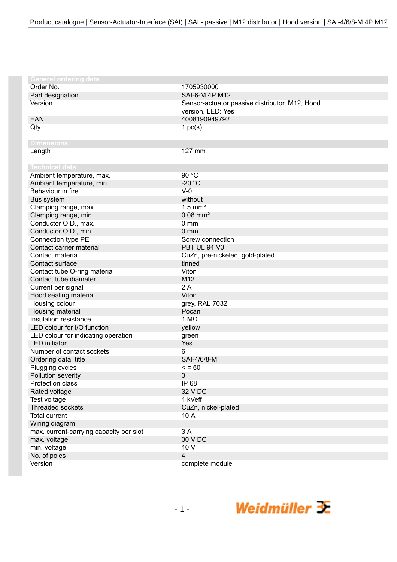| <b>General ordering data</b>            |                                                |
|-----------------------------------------|------------------------------------------------|
| Order No.                               | 1705930000                                     |
| Part designation                        | SAI-6-M 4P M12                                 |
| Version                                 | Sensor-actuator passive distributor, M12, Hood |
|                                         | version, LED: Yes                              |
| <b>EAN</b>                              | 4008190949792                                  |
| Qty.                                    | 1 $pc(s)$ .                                    |
|                                         |                                                |
| <b>Dimensions</b>                       |                                                |
| Length                                  | 127 mm                                         |
| <b>Technical data</b>                   |                                                |
| Ambient temperature, max.               | 90 °C                                          |
| Ambient temperature, min.               | $-20 °C$                                       |
| Behaviour in fire                       | $V-0$                                          |
| Bus system                              | without                                        |
| Clamping range, max.                    | $1.5$ mm <sup>2</sup>                          |
| Clamping range, min.                    | $0.08$ mm <sup>2</sup>                         |
| Conductor O.D., max.                    | 0 <sub>mm</sub>                                |
| Conductor O.D., min.                    | 0 <sub>mm</sub>                                |
| Connection type PE                      | Screw connection                               |
| Contact carrier material                | PBT UL 94 V0                                   |
| Contact material                        | CuZn, pre-nickeled, gold-plated                |
| Contact surface                         | tinned                                         |
| Contact tube O-ring material            | Viton                                          |
| Contact tube diameter                   | M12                                            |
| Current per signal                      | 2A                                             |
| Hood sealing material                   | Viton                                          |
| Housing colour                          | grey, RAL 7032                                 |
| Housing material                        | Pocan                                          |
| Insulation resistance                   | 1 $M\Omega$                                    |
| LED colour for I/O function             | yellow                                         |
| LED colour for indicating operation     | green                                          |
| <b>LED</b> initiator                    | Yes                                            |
| Number of contact sockets               | 6                                              |
| Ordering data, title                    | SAI-4/6/8-M                                    |
| Plugging cycles                         | $\le$ = 50                                     |
| <b>Pollution severity</b>               | 3                                              |
| Protection class                        | IP 68                                          |
| Rated voltage                           | 32 V DC                                        |
| Test voltage                            | 1 kVeff                                        |
| <b>Threaded sockets</b>                 | CuZn, nickel-plated                            |
| <b>Total current</b>                    | 10 A                                           |
| Wiring diagram                          |                                                |
| max. current-carrying capacity per slot | 3A                                             |
| max. voltage                            | 30 V DC                                        |
| min. voltage                            | 10 V                                           |
| No. of poles                            | $\overline{\mathbf{4}}$                        |
| Version                                 | complete module                                |
|                                         |                                                |